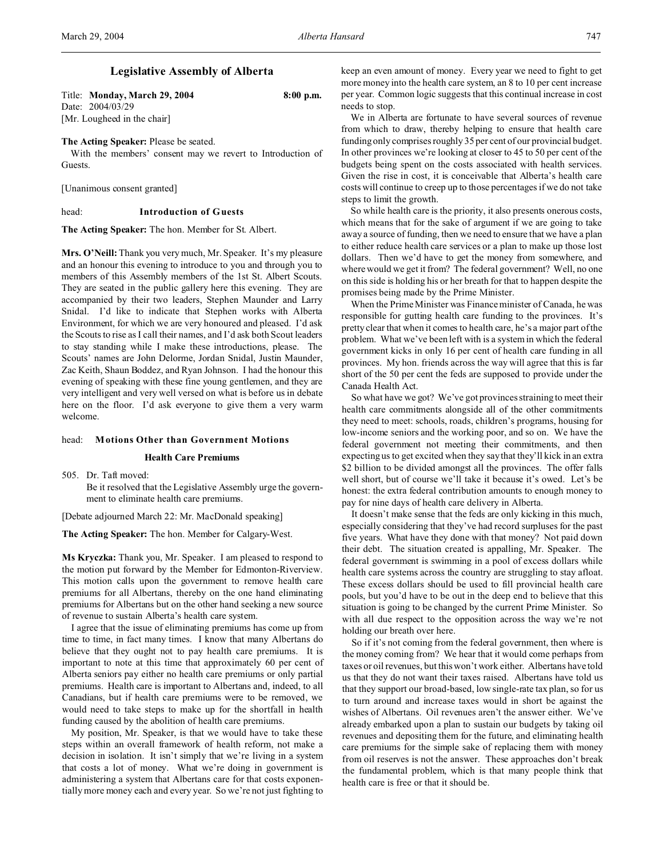# **Legislative Assembly of Alberta**

Title: **Monday, March 29, 2004 8:00 p.m.** Date: 2004/03/29 [Mr. Lougheed in the chair]

#### **The Acting Speaker:** Please be seated.

With the members' consent may we revert to Introduction of Guests.

[Unanimous consent granted]

#### head: **Introduction of Guests**

**The Acting Speaker:** The hon. Member for St. Albert.

**Mrs. O'Neill:**Thank you very much, Mr. Speaker. It's my pleasure and an honour this evening to introduce to you and through you to members of this Assembly members of the 1st St. Albert Scouts. They are seated in the public gallery here this evening. They are accompanied by their two leaders, Stephen Maunder and Larry Snidal. I'd like to indicate that Stephen works with Alberta Environment, for which we are very honoured and pleased. I'd ask the Scouts to rise as I call their names, and I'd ask both Scout leaders to stay standing while I make these introductions, please. The Scouts' names are John Delorme, Jordan Snidal, Justin Maunder, Zac Keith, Shaun Boddez, and Ryan Johnson. I had the honour this evening of speaking with these fine young gentlemen, and they are very intelligent and very well versed on what is before us in debate here on the floor. I'd ask everyone to give them a very warm welcome.

#### head: **Motions Other than Government Motions**

### **Health Care Premiums**

505. Dr. Taft moved:

Be it resolved that the Legislative Assembly urge the government to eliminate health care premiums.

[Debate adjourned March 22: Mr. MacDonald speaking]

**The Acting Speaker:** The hon. Member for Calgary-West.

**Ms Kryczka:** Thank you, Mr. Speaker. I am pleased to respond to the motion put forward by the Member for Edmonton-Riverview. This motion calls upon the government to remove health care premiums for all Albertans, thereby on the one hand eliminating premiums for Albertans but on the other hand seeking a new source of revenue to sustain Alberta's health care system.

I agree that the issue of eliminating premiums has come up from time to time, in fact many times. I know that many Albertans do believe that they ought not to pay health care premiums. It is important to note at this time that approximately 60 per cent of Alberta seniors pay either no health care premiums or only partial premiums. Health care is important to Albertans and, indeed, to all Canadians, but if health care premiums were to be removed, we would need to take steps to make up for the shortfall in health funding caused by the abolition of health care premiums.

My position, Mr. Speaker, is that we would have to take these steps within an overall framework of health reform, not make a decision in isolation. It isn't simply that we're living in a system that costs a lot of money. What we're doing in government is administering a system that Albertans care for that costs exponentially more money each and every year. So we're not just fighting to

keep an even amount of money. Every year we need to fight to get more money into the health care system, an 8 to 10 per cent increase per year. Common logic suggests that this continual increase in cost needs to stop.

We in Alberta are fortunate to have several sources of revenue from which to draw, thereby helping to ensure that health care funding only comprises roughly 35 per cent of our provincial budget. In other provinces we're looking at closer to 45 to 50 per cent of the budgets being spent on the costs associated with health services. Given the rise in cost, it is conceivable that Alberta's health care costs will continue to creep up to those percentages if we do not take steps to limit the growth.

So while health care is the priority, it also presents onerous costs, which means that for the sake of argument if we are going to take away a source of funding, then we need to ensure that we have a plan to either reduce health care services or a plan to make up those lost dollars. Then we'd have to get the money from somewhere, and where would we get it from? The federal government? Well, no one on this side is holding his or her breath for that to happen despite the promises being made by the Prime Minister.

When the Prime Minister was Finance minister of Canada, he was responsible for gutting health care funding to the provinces. It's pretty clear that when it comes to health care, he's a major part of the problem. What we've been left with is a system in which the federal government kicks in only 16 per cent of health care funding in all provinces. My hon. friends across the way will agree that this is far short of the 50 per cent the feds are supposed to provide under the Canada Health Act.

So what have we got? We've got provinces straining to meet their health care commitments alongside all of the other commitments they need to meet: schools, roads, children's programs, housing for low-income seniors and the working poor, and so on. We have the federal government not meeting their commitments, and then expecting us to get excited when they say that they'll kick in an extra \$2 billion to be divided amongst all the provinces. The offer falls well short, but of course we'll take it because it's owed. Let's be honest: the extra federal contribution amounts to enough money to pay for nine days of health care delivery in Alberta.

It doesn't make sense that the feds are only kicking in this much, especially considering that they've had record surpluses for the past five years. What have they done with that money? Not paid down their debt. The situation created is appalling, Mr. Speaker. The federal government is swimming in a pool of excess dollars while health care systems across the country are struggling to stay afloat. These excess dollars should be used to fill provincial health care pools, but you'd have to be out in the deep end to believe that this situation is going to be changed by the current Prime Minister. So with all due respect to the opposition across the way we're not holding our breath over here.

So if it's not coming from the federal government, then where is the money coming from? We hear that it would come perhaps from taxes or oil revenues, but this won't work either. Albertans have told us that they do not want their taxes raised. Albertans have told us that they support our broad-based, low single-rate tax plan, so for us to turn around and increase taxes would in short be against the wishes of Albertans. Oil revenues aren't the answer either. We've already embarked upon a plan to sustain our budgets by taking oil revenues and depositing them for the future, and eliminating health care premiums for the simple sake of replacing them with money from oil reserves is not the answer. These approaches don't break the fundamental problem, which is that many people think that health care is free or that it should be.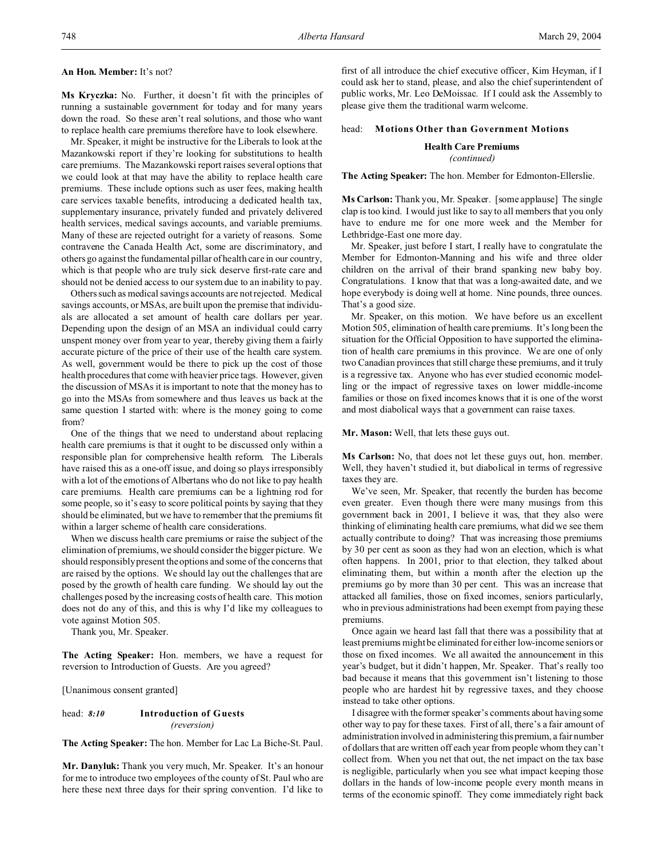#### **An Hon. Member:** It's not?

**Ms Kryczka:** No. Further, it doesn't fit with the principles of running a sustainable government for today and for many years down the road. So these aren't real solutions, and those who want to replace health care premiums therefore have to look elsewhere.

Mr. Speaker, it might be instructive for the Liberals to look at the Mazankowski report if they're looking for substitutions to health care premiums. The Mazankowski report raises several options that we could look at that may have the ability to replace health care premiums. These include options such as user fees, making health care services taxable benefits, introducing a dedicated health tax, supplementary insurance, privately funded and privately delivered health services, medical savings accounts, and variable premiums. Many of these are rejected outright for a variety of reasons. Some contravene the Canada Health Act, some are discriminatory, and others go against the fundamental pillar of health care in our country, which is that people who are truly sick deserve first-rate care and should not be denied access to our system due to an inability to pay.

Others such as medical savings accounts are not rejected. Medical savings accounts, or MSAs, are built upon the premise that individuals are allocated a set amount of health care dollars per year. Depending upon the design of an MSA an individual could carry unspent money over from year to year, thereby giving them a fairly accurate picture of the price of their use of the health care system. As well, government would be there to pick up the cost of those health procedures that come with heavier price tags. However, given the discussion of MSAs it is important to note that the money has to go into the MSAs from somewhere and thus leaves us back at the same question I started with: where is the money going to come from?

One of the things that we need to understand about replacing health care premiums is that it ought to be discussed only within a responsible plan for comprehensive health reform. The Liberals have raised this as a one-off issue, and doing so plays irresponsibly with a lot of the emotions of Albertans who do not like to pay health care premiums. Health care premiums can be a lightning rod for some people, so it's easy to score political points by saying that they should be eliminated, but we have to remember that the premiums fit within a larger scheme of health care considerations.

When we discuss health care premiums or raise the subject of the elimination of premiums, we should consider the bigger picture. We should responsibly present the options and some of the concerns that are raised by the options. We should lay out the challenges that are posed by the growth of health care funding. We should lay out the challenges posed by the increasing costs of health care. This motion does not do any of this, and this is why I'd like my colleagues to vote against Motion 505.

Thank you, Mr. Speaker.

**The Acting Speaker:** Hon. members, we have a request for reversion to Introduction of Guests. Are you agreed?

[Unanimous consent granted]

head: *8:10* **Introduction of Guests** *(reversion)*

**The Acting Speaker:** The hon. Member for Lac La Biche-St. Paul.

**Mr. Danyluk:** Thank you very much, Mr. Speaker. It's an honour for me to introduce two employees of the county of St. Paul who are here these next three days for their spring convention. I'd like to

first of all introduce the chief executive officer, Kim Heyman, if I could ask her to stand, please, and also the chief superintendent of public works, Mr. Leo DeMoissac. If I could ask the Assembly to please give them the traditional warm welcome.

### head: **Motions Other than Government Motions**

#### **Health Care Premiums** *(continued)*

**The Acting Speaker:** The hon. Member for Edmonton-Ellerslie.

**Ms Carlson:** Thank you, Mr. Speaker. [some applause] The single clap is too kind. I would just like to say to all members that you only have to endure me for one more week and the Member for Lethbridge-East one more day.

Mr. Speaker, just before I start, I really have to congratulate the Member for Edmonton-Manning and his wife and three older children on the arrival of their brand spanking new baby boy. Congratulations. I know that that was a long-awaited date, and we hope everybody is doing well at home. Nine pounds, three ounces. That's a good size.

Mr. Speaker, on this motion. We have before us an excellent Motion 505, elimination of health care premiums. It's long been the situation for the Official Opposition to have supported the elimination of health care premiums in this province. We are one of only two Canadian provinces that still charge these premiums, and it truly is a regressive tax. Anyone who has ever studied economic modelling or the impact of regressive taxes on lower middle-income families or those on fixed incomes knows that it is one of the worst and most diabolical ways that a government can raise taxes.

**Mr. Mason:** Well, that lets these guys out.

**Ms Carlson:** No, that does not let these guys out, hon. member. Well, they haven't studied it, but diabolical in terms of regressive taxes they are.

We've seen, Mr. Speaker, that recently the burden has become even greater. Even though there were many musings from this government back in 2001, I believe it was, that they also were thinking of eliminating health care premiums, what did we see them actually contribute to doing? That was increasing those premiums by 30 per cent as soon as they had won an election, which is what often happens. In 2001, prior to that election, they talked about eliminating them, but within a month after the election up the premiums go by more than 30 per cent. This was an increase that attacked all families, those on fixed incomes, seniors particularly, who in previous administrations had been exempt from paying these premiums.

Once again we heard last fall that there was a possibility that at least premiums might be eliminated for either low-income seniors or those on fixed incomes. We all awaited the announcement in this year's budget, but it didn't happen, Mr. Speaker. That's really too bad because it means that this government isn't listening to those people who are hardest hit by regressive taxes, and they choose instead to take other options.

I disagree with the former speaker's comments about having some other way to pay for these taxes. First of all, there's a fair amount of administration involved in administering this premium, a fair number of dollars that are written off each year from people whom they can't collect from. When you net that out, the net impact on the tax base is negligible, particularly when you see what impact keeping those dollars in the hands of low-income people every month means in terms of the economic spinoff. They come immediately right back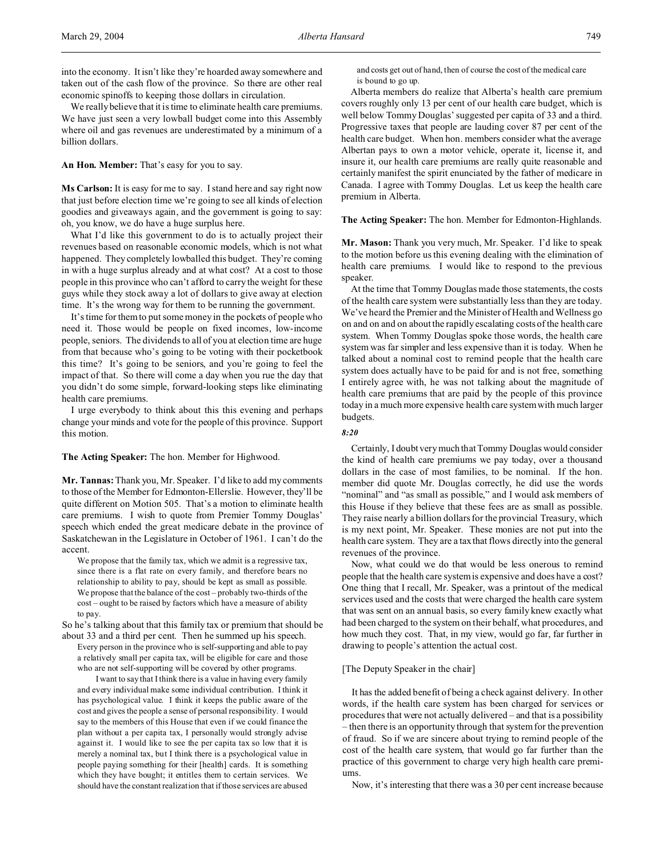into the economy. It isn't like they're hoarded away somewhere and taken out of the cash flow of the province. So there are other real economic spinoffs to keeping those dollars in circulation.

We really believe that it is time to eliminate health care premiums. We have just seen a very lowball budget come into this Assembly where oil and gas revenues are underestimated by a minimum of a billion dollars.

**An Hon. Member:** That's easy for you to say.

**Ms Carlson:** It is easy for me to say. I stand here and say right now that just before election time we're going to see all kinds of election goodies and giveaways again, and the government is going to say: oh, you know, we do have a huge surplus here.

What I'd like this government to do is to actually project their revenues based on reasonable economic models, which is not what happened. They completely lowballed this budget. They're coming in with a huge surplus already and at what cost? At a cost to those people in this province who can't afford to carry the weight for these guys while they stock away a lot of dollars to give away at election time. It's the wrong way for them to be running the government.

It's time for them to put some money in the pockets of people who need it. Those would be people on fixed incomes, low-income people, seniors. The dividends to all of you at election time are huge from that because who's going to be voting with their pocketbook this time? It's going to be seniors, and you're going to feel the impact of that. So there will come a day when you rue the day that you didn't do some simple, forward-looking steps like eliminating health care premiums.

I urge everybody to think about this this evening and perhaps change your minds and vote for the people of this province. Support this motion.

**The Acting Speaker:** The hon. Member for Highwood.

**Mr. Tannas:**Thank you, Mr. Speaker. I'd like to add my comments to those of the Member for Edmonton-Ellerslie. However, they'll be quite different on Motion 505. That's a motion to eliminate health care premiums. I wish to quote from Premier Tommy Douglas' speech which ended the great medicare debate in the province of Saskatchewan in the Legislature in October of 1961. I can't do the accent.

We propose that the family tax, which we admit is a regressive tax, since there is a flat rate on every family, and therefore bears no relationship to ability to pay, should be kept as small as possible. We propose that the balance of the cost – probably two-thirds of the cost – ought to be raised by factors which have a measure of ability to pay.

So he's talking about that this family tax or premium that should be about 33 and a third per cent. Then he summed up his speech.

Every person in the province who is self-supporting and able to pay a relatively small per capita tax, will be eligible for care and those who are not self-supporting will be covered by other programs.

I want to say that I think there is a value in having every family and every individual make some individual contribution. I think it has psychological value. I think it keeps the public aware of the cost and gives the people a sense of personal responsibility. I would say to the members of this House that even if we could finance the plan without a per capita tax, I personally would strongly advise against it. I would like to see the per capita tax so low that it is merely a nominal tax, but I think there is a psychological value in people paying something for their [health] cards. It is something which they have bought; it entitles them to certain services. We should have the constant realization that if those services are abused and costs get out of hand, then of course the cost of the medical care is bound to go up.

Alberta members do realize that Alberta's health care premium covers roughly only 13 per cent of our health care budget, which is well below Tommy Douglas' suggested per capita of 33 and a third. Progressive taxes that people are lauding cover 87 per cent of the health care budget. When hon. members consider what the average Albertan pays to own a motor vehicle, operate it, license it, and insure it, our health care premiums are really quite reasonable and certainly manifest the spirit enunciated by the father of medicare in Canada. I agree with Tommy Douglas. Let us keep the health care premium in Alberta.

**The Acting Speaker:** The hon. Member for Edmonton-Highlands.

**Mr. Mason:** Thank you very much, Mr. Speaker. I'd like to speak to the motion before us this evening dealing with the elimination of health care premiums. I would like to respond to the previous speaker.

At the time that Tommy Douglas made those statements, the costs of the health care system were substantially less than they are today. We've heard the Premier and the Minister of Health and Wellness go on and on and on about the rapidly escalating costs of the health care system. When Tommy Douglas spoke those words, the health care system was far simpler and less expensive than it is today. When he talked about a nominal cost to remind people that the health care system does actually have to be paid for and is not free, something I entirely agree with, he was not talking about the magnitude of health care premiums that are paid by the people of this province today in a much more expensive health care system with much larger budgets.

#### *8:20*

Certainly, I doubt very much that Tommy Douglas would consider the kind of health care premiums we pay today, over a thousand dollars in the case of most families, to be nominal. If the hon. member did quote Mr. Douglas correctly, he did use the words "nominal" and "as small as possible," and I would ask members of this House if they believe that these fees are as small as possible. They raise nearly a billion dollars for the provincial Treasury, which is my next point, Mr. Speaker. These monies are not put into the health care system. They are a tax that flows directly into the general revenues of the province.

Now, what could we do that would be less onerous to remind people that the health care system is expensive and does have a cost? One thing that I recall, Mr. Speaker, was a printout of the medical services used and the costs that were charged the health care system that was sent on an annual basis, so every family knew exactly what had been charged to the system on their behalf, what procedures, and how much they cost. That, in my view, would go far, far further in drawing to people's attention the actual cost.

#### [The Deputy Speaker in the chair]

It has the added benefit of being a check against delivery. In other words, if the health care system has been charged for services or procedures that were not actually delivered – and that is a possibility – then there is an opportunity through that system for the prevention of fraud. So if we are sincere about trying to remind people of the cost of the health care system, that would go far further than the practice of this government to charge very high health care premiums.

Now, it's interesting that there was a 30 per cent increase because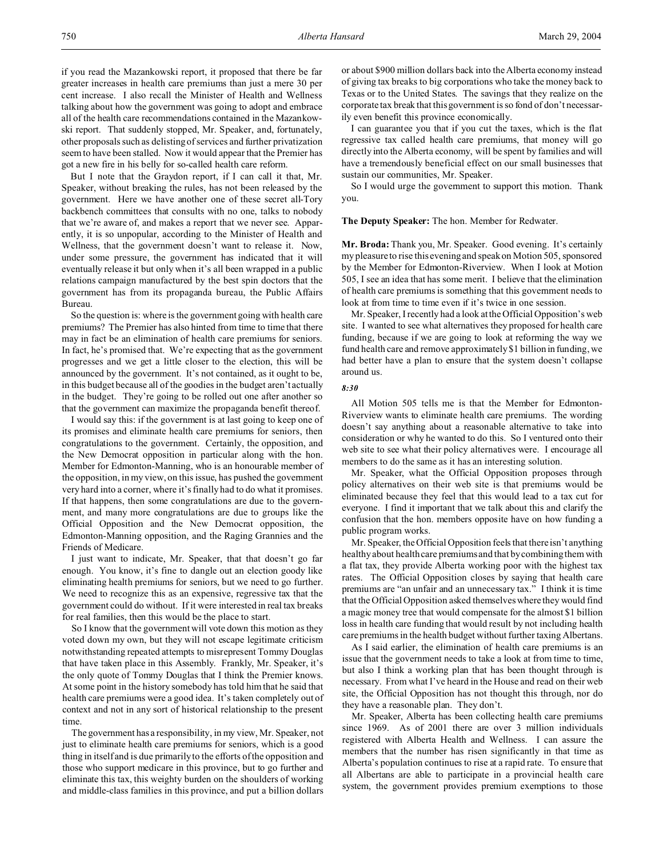if you read the Mazankowski report, it proposed that there be far greater increases in health care premiums than just a mere 30 per cent increase. I also recall the Minister of Health and Wellness talking about how the government was going to adopt and embrace all of the health care recommendations contained in the Mazankowski report. That suddenly stopped, Mr. Speaker, and, fortunately, other proposals such as delisting of services and further privatization seem to have been stalled. Now it would appear that the Premier has got a new fire in his belly for so-called health care reform.

But I note that the Graydon report, if I can call it that, Mr. Speaker, without breaking the rules, has not been released by the government. Here we have another one of these secret all-Tory backbench committees that consults with no one, talks to nobody that we're aware of, and makes a report that we never see. Apparently, it is so unpopular, according to the Minister of Health and Wellness, that the government doesn't want to release it. Now, under some pressure, the government has indicated that it will eventually release it but only when it's all been wrapped in a public relations campaign manufactured by the best spin doctors that the government has from its propaganda bureau, the Public Affairs Bureau.

So the question is: where is the government going with health care premiums? The Premier has also hinted from time to time that there may in fact be an elimination of health care premiums for seniors. In fact, he's promised that. We're expecting that as the government progresses and we get a little closer to the election, this will be announced by the government. It's not contained, as it ought to be, in this budget because all of the goodies in the budget aren't actually in the budget. They're going to be rolled out one after another so that the government can maximize the propaganda benefit thereof.

I would say this: if the government is at last going to keep one of its promises and eliminate health care premiums for seniors, then congratulations to the government. Certainly, the opposition, and the New Democrat opposition in particular along with the hon. Member for Edmonton-Manning, who is an honourable member of the opposition, in my view, on this issue, has pushed the government very hard into a corner, where it's finally had to do what it promises. If that happens, then some congratulations are due to the government, and many more congratulations are due to groups like the Official Opposition and the New Democrat opposition, the Edmonton-Manning opposition, and the Raging Grannies and the Friends of Medicare.

I just want to indicate, Mr. Speaker, that that doesn't go far enough. You know, it's fine to dangle out an election goody like eliminating health premiums for seniors, but we need to go further. We need to recognize this as an expensive, regressive tax that the government could do without. If it were interested in real tax breaks for real families, then this would be the place to start.

So I know that the government will vote down this motion as they voted down my own, but they will not escape legitimate criticism notwithstanding repeated attempts to misrepresent Tommy Douglas that have taken place in this Assembly. Frankly, Mr. Speaker, it's the only quote of Tommy Douglas that I think the Premier knows. At some point in the history somebody has told him that he said that health care premiums were a good idea. It's taken completely out of context and not in any sort of historical relationship to the present time.

The government has a responsibility, in my view, Mr. Speaker, not just to eliminate health care premiums for seniors, which is a good thing in itself and is due primarily to the efforts of the opposition and those who support medicare in this province, but to go further and eliminate this tax, this weighty burden on the shoulders of working and middle-class families in this province, and put a billion dollars

or about \$900 million dollars back into the Alberta economy instead of giving tax breaks to big corporations who take the money back to Texas or to the United States. The savings that they realize on the corporate tax break that this government is so fond of don't necessarily even benefit this province economically.

I can guarantee you that if you cut the taxes, which is the flat regressive tax called health care premiums, that money will go directly into the Alberta economy, will be spent by families and will have a tremendously beneficial effect on our small businesses that sustain our communities, Mr. Speaker.

So I would urge the government to support this motion. Thank you.

# **The Deputy Speaker:** The hon. Member for Redwater.

**Mr. Broda:** Thank you, Mr. Speaker. Good evening. It's certainly my pleasure to rise this evening and speak on Motion 505, sponsored by the Member for Edmonton-Riverview. When I look at Motion 505, I see an idea that has some merit. I believe that the elimination of health care premiums is something that this government needs to look at from time to time even if it's twice in one session.

Mr. Speaker, I recently had a look at the Official Opposition's web site. I wanted to see what alternatives they proposed for health care funding, because if we are going to look at reforming the way we fund health care and remove approximately \$1 billion in funding, we had better have a plan to ensure that the system doesn't collapse around us.

#### *8:30*

All Motion 505 tells me is that the Member for Edmonton-Riverview wants to eliminate health care premiums. The wording doesn't say anything about a reasonable alternative to take into consideration or why he wanted to do this. So I ventured onto their web site to see what their policy alternatives were. I encourage all members to do the same as it has an interesting solution.

Mr. Speaker, what the Official Opposition proposes through policy alternatives on their web site is that premiums would be eliminated because they feel that this would lead to a tax cut for everyone. I find it important that we talk about this and clarify the confusion that the hon. members opposite have on how funding a public program works.

Mr. Speaker, the Official Opposition feels that there isn't anything healthy about health care premiums and that by combining them with a flat tax, they provide Alberta working poor with the highest tax rates. The Official Opposition closes by saying that health care premiums are "an unfair and an unnecessary tax." I think it is time that the Official Opposition asked themselves where they would find a magic money tree that would compensate for the almost \$1 billion loss in health care funding that would result by not including health care premiums in the health budget without further taxing Albertans.

As I said earlier, the elimination of health care premiums is an issue that the government needs to take a look at from time to time, but also I think a working plan that has been thought through is necessary. From what I've heard in the House and read on their web site, the Official Opposition has not thought this through, nor do they have a reasonable plan. They don't.

Mr. Speaker, Alberta has been collecting health care premiums since 1969. As of 2001 there are over 3 million individuals registered with Alberta Health and Wellness. I can assure the members that the number has risen significantly in that time as Alberta's population continues to rise at a rapid rate. To ensure that all Albertans are able to participate in a provincial health care system, the government provides premium exemptions to those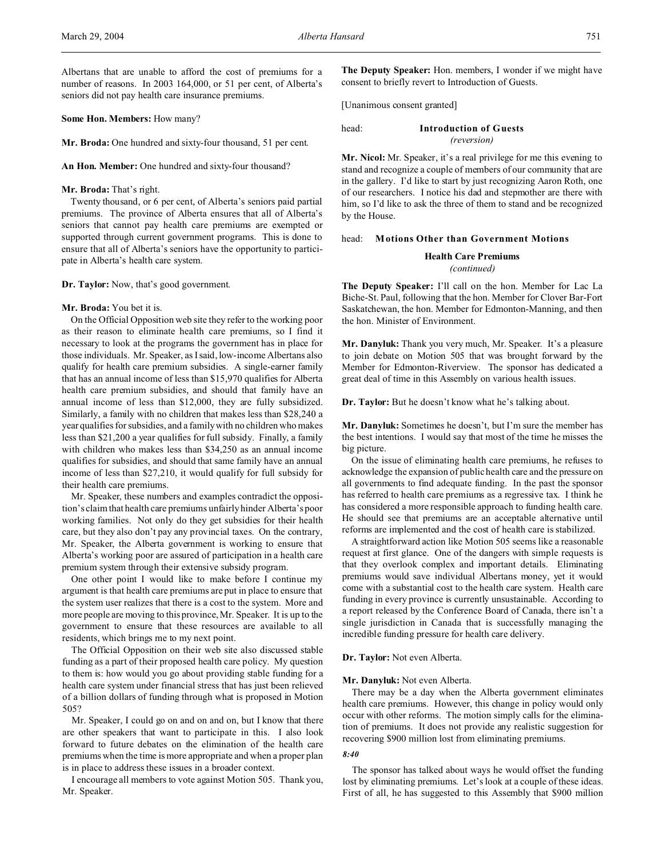Albertans that are unable to afford the cost of premiums for a number of reasons. In 2003 164,000, or 51 per cent, of Alberta's seniors did not pay health care insurance premiums.

### **Some Hon. Members:** How many?

**Mr. Broda:** One hundred and sixty-four thousand, 51 per cent.

#### **An Hon. Member:** One hundred and sixty-four thousand?

#### **Mr. Broda:** That's right.

Twenty thousand, or 6 per cent, of Alberta's seniors paid partial premiums. The province of Alberta ensures that all of Alberta's seniors that cannot pay health care premiums are exempted or supported through current government programs. This is done to ensure that all of Alberta's seniors have the opportunity to participate in Alberta's health care system.

### **Dr. Taylor:** Now, that's good government.

#### **Mr. Broda:** You bet it is.

On the Official Opposition web site they refer to the working poor as their reason to eliminate health care premiums, so I find it necessary to look at the programs the government has in place for those individuals. Mr. Speaker, as I said, low-income Albertans also qualify for health care premium subsidies. A single-earner family that has an annual income of less than \$15,970 qualifies for Alberta health care premium subsidies, and should that family have an annual income of less than \$12,000, they are fully subsidized. Similarly, a family with no children that makes less than \$28,240 a year qualifies for subsidies, and a family with no children who makes less than \$21,200 a year qualifies for full subsidy. Finally, a family with children who makes less than \$34,250 as an annual income qualifies for subsidies, and should that same family have an annual income of less than \$27,210, it would qualify for full subsidy for their health care premiums.

Mr. Speaker, these numbers and examples contradict the opposition's claim that health care premiums unfairly hinder Alberta's poor working families. Not only do they get subsidies for their health care, but they also don't pay any provincial taxes. On the contrary, Mr. Speaker, the Alberta government is working to ensure that Alberta's working poor are assured of participation in a health care premium system through their extensive subsidy program.

One other point I would like to make before I continue my argument is that health care premiums are put in place to ensure that the system user realizes that there is a cost to the system. More and more people are moving to this province, Mr. Speaker. It is up to the government to ensure that these resources are available to all residents, which brings me to my next point.

The Official Opposition on their web site also discussed stable funding as a part of their proposed health care policy. My question to them is: how would you go about providing stable funding for a health care system under financial stress that has just been relieved of a billion dollars of funding through what is proposed in Motion 505?

Mr. Speaker, I could go on and on and on, but I know that there are other speakers that want to participate in this. I also look forward to future debates on the elimination of the health care premiums when the time is more appropriate and when a proper plan is in place to address these issues in a broader context.

I encourage all members to vote against Motion 505. Thank you, Mr. Speaker.

**The Deputy Speaker:** Hon. members, I wonder if we might have consent to briefly revert to Introduction of Guests.

[Unanimous consent granted]

#### head: **Introduction of Guests** *(reversion)*

**Mr. Nicol:** Mr. Speaker, it's a real privilege for me this evening to stand and recognize a couple of members of our community that are in the gallery. I'd like to start by just recognizing Aaron Roth, one of our researchers. I notice his dad and stepmother are there with him, so I'd like to ask the three of them to stand and be recognized by the House.

#### head: **Motions Other than Government Motions**

#### **Health Care Premiums**

*(continued)*

**The Deputy Speaker:** I'll call on the hon. Member for Lac La Biche-St. Paul, following that the hon. Member for Clover Bar-Fort Saskatchewan, the hon. Member for Edmonton-Manning, and then the hon. Minister of Environment.

**Mr. Danyluk:** Thank you very much, Mr. Speaker. It's a pleasure to join debate on Motion 505 that was brought forward by the Member for Edmonton-Riverview. The sponsor has dedicated a great deal of time in this Assembly on various health issues.

**Dr. Taylor:** But he doesn't know what he's talking about.

**Mr. Danyluk:** Sometimes he doesn't, but I'm sure the member has the best intentions. I would say that most of the time he misses the big picture.

On the issue of eliminating health care premiums, he refuses to acknowledge the expansion of public health care and the pressure on all governments to find adequate funding. In the past the sponsor has referred to health care premiums as a regressive tax. I think he has considered a more responsible approach to funding health care. He should see that premiums are an acceptable alternative until reforms are implemented and the cost of health care is stabilized.

A straightforward action like Motion 505 seems like a reasonable request at first glance. One of the dangers with simple requests is that they overlook complex and important details. Eliminating premiums would save individual Albertans money, yet it would come with a substantial cost to the health care system. Health care funding in every province is currently unsustainable. According to a report released by the Conference Board of Canada, there isn't a single jurisdiction in Canada that is successfully managing the incredible funding pressure for health care delivery.

### **Dr. Taylor:** Not even Alberta.

#### **Mr. Danyluk:** Not even Alberta.

There may be a day when the Alberta government eliminates health care premiums. However, this change in policy would only occur with other reforms. The motion simply calls for the elimination of premiums. It does not provide any realistic suggestion for recovering \$900 million lost from eliminating premiums.

#### *8:40*

The sponsor has talked about ways he would offset the funding lost by eliminating premiums. Let's look at a couple of these ideas. First of all, he has suggested to this Assembly that \$900 million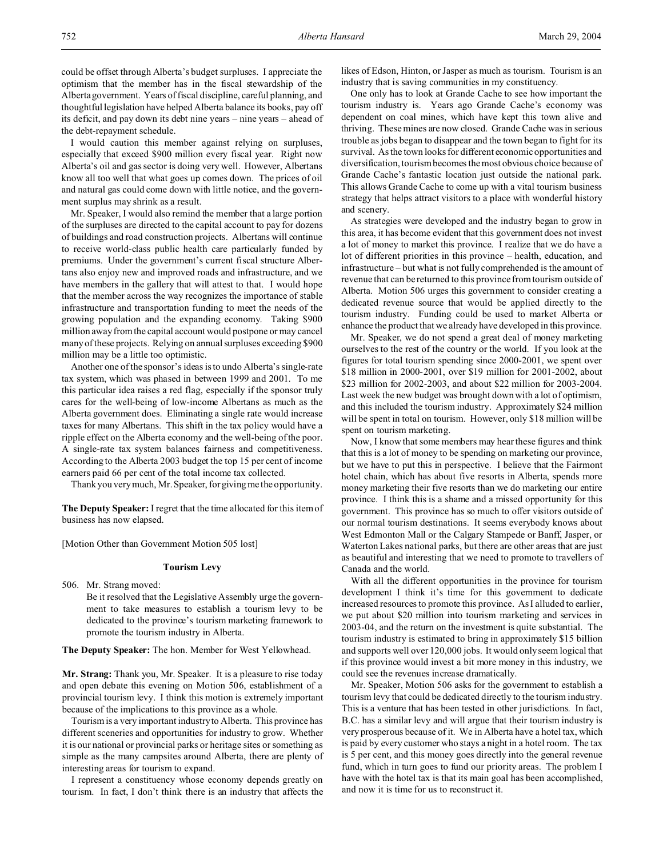could be offset through Alberta's budget surpluses. I appreciate the optimism that the member has in the fiscal stewardship of the Alberta government. Years of fiscal discipline, careful planning, and thoughtful legislation have helped Alberta balance its books, pay off its deficit, and pay down its debt nine years – nine years – ahead of the debt-repayment schedule.

I would caution this member against relying on surpluses, especially that exceed \$900 million every fiscal year. Right now Alberta's oil and gas sector is doing very well. However, Albertans know all too well that what goes up comes down. The prices of oil and natural gas could come down with little notice, and the government surplus may shrink as a result.

Mr. Speaker, I would also remind the member that a large portion of the surpluses are directed to the capital account to pay for dozens of buildings and road construction projects. Albertans will continue to receive world-class public health care particularly funded by premiums. Under the government's current fiscal structure Albertans also enjoy new and improved roads and infrastructure, and we have members in the gallery that will attest to that. I would hope that the member across the way recognizes the importance of stable infrastructure and transportation funding to meet the needs of the growing population and the expanding economy. Taking \$900 million away from the capital account would postpone or may cancel many of these projects. Relying on annual surpluses exceeding \$900 million may be a little too optimistic.

Another one of the sponsor's ideas is to undo Alberta's single-rate tax system, which was phased in between 1999 and 2001. To me this particular idea raises a red flag, especially if the sponsor truly cares for the well-being of low-income Albertans as much as the Alberta government does. Eliminating a single rate would increase taxes for many Albertans. This shift in the tax policy would have a ripple effect on the Alberta economy and the well-being of the poor. A single-rate tax system balances fairness and competitiveness. According to the Alberta 2003 budget the top 15 per cent of income earners paid 66 per cent of the total income tax collected.

Thank you very much, Mr. Speaker, for giving me the opportunity.

**The Deputy Speaker:** I regret that the time allocated for this item of business has now elapsed.

[Motion Other than Government Motion 505 lost]

#### **Tourism Levy**

506. Mr. Strang moved:

Be it resolved that the Legislative Assembly urge the government to take measures to establish a tourism levy to be dedicated to the province's tourism marketing framework to promote the tourism industry in Alberta.

**The Deputy Speaker:** The hon. Member for West Yellowhead.

**Mr. Strang:** Thank you, Mr. Speaker. It is a pleasure to rise today and open debate this evening on Motion 506, establishment of a provincial tourism levy. I think this motion is extremely important because of the implications to this province as a whole.

Tourism is a very important industry to Alberta. This province has different sceneries and opportunities for industry to grow. Whether it is our national or provincial parks or heritage sites or something as simple as the many campsites around Alberta, there are plenty of interesting areas for tourism to expand.

I represent a constituency whose economy depends greatly on tourism. In fact, I don't think there is an industry that affects the likes of Edson, Hinton, or Jasper as much as tourism. Tourism is an industry that is saving communities in my constituency.

One only has to look at Grande Cache to see how important the tourism industry is. Years ago Grande Cache's economy was dependent on coal mines, which have kept this town alive and thriving. These mines are now closed. Grande Cache was in serious trouble as jobs began to disappear and the town began to fight for its survival. As the town looks for different economic opportunities and diversification, tourism becomes the most obvious choice because of Grande Cache's fantastic location just outside the national park. This allows Grande Cache to come up with a vital tourism business strategy that helps attract visitors to a place with wonderful history and scenery.

As strategies were developed and the industry began to grow in this area, it has become evident that this government does not invest a lot of money to market this province. I realize that we do have a lot of different priorities in this province – health, education, and infrastructure – but what is not fully comprehended is the amount of revenue that can be returned to this province from tourism outside of Alberta. Motion 506 urges this government to consider creating a dedicated revenue source that would be applied directly to the tourism industry. Funding could be used to market Alberta or enhance the product that we already have developed in this province.

Mr. Speaker, we do not spend a great deal of money marketing ourselves to the rest of the country or the world. If you look at the figures for total tourism spending since 2000-2001, we spent over \$18 million in 2000-2001, over \$19 million for 2001-2002, about \$23 million for 2002-2003, and about \$22 million for 2003-2004. Last week the new budget was brought down with a lot of optimism, and this included the tourism industry. Approximately \$24 million will be spent in total on tourism. However, only \$18 million will be spent on tourism marketing.

Now, I know that some members may hear these figures and think that this is a lot of money to be spending on marketing our province, but we have to put this in perspective. I believe that the Fairmont hotel chain, which has about five resorts in Alberta, spends more money marketing their five resorts than we do marketing our entire province. I think this is a shame and a missed opportunity for this government. This province has so much to offer visitors outside of our normal tourism destinations. It seems everybody knows about West Edmonton Mall or the Calgary Stampede or Banff, Jasper, or Waterton Lakes national parks, but there are other areas that are just as beautiful and interesting that we need to promote to travellers of Canada and the world.

With all the different opportunities in the province for tourism development I think it's time for this government to dedicate increased resources to promote this province. As I alluded to earlier, we put about \$20 million into tourism marketing and services in 2003-04, and the return on the investment is quite substantial. The tourism industry is estimated to bring in approximately \$15 billion and supports well over 120,000 jobs. It would only seem logical that if this province would invest a bit more money in this industry, we could see the revenues increase dramatically.

Mr. Speaker, Motion 506 asks for the government to establish a tourism levy that could be dedicated directly to the tourism industry. This is a venture that has been tested in other jurisdictions. In fact, B.C. has a similar levy and will argue that their tourism industry is very prosperous because of it. We in Alberta have a hotel tax, which is paid by every customer who stays a night in a hotel room. The tax is 5 per cent, and this money goes directly into the general revenue fund, which in turn goes to fund our priority areas. The problem I have with the hotel tax is that its main goal has been accomplished, and now it is time for us to reconstruct it.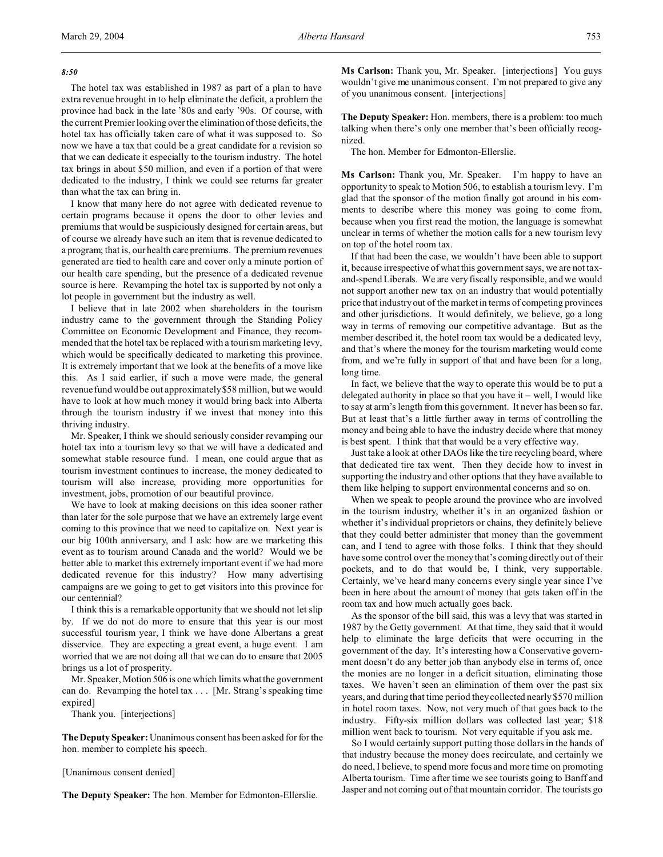### *8:50*

The hotel tax was established in 1987 as part of a plan to have extra revenue brought in to help eliminate the deficit, a problem the province had back in the late '80s and early '90s. Of course, with the current Premier looking over the elimination of those deficits, the hotel tax has officially taken care of what it was supposed to. So now we have a tax that could be a great candidate for a revision so that we can dedicate it especially to the tourism industry. The hotel tax brings in about \$50 million, and even if a portion of that were dedicated to the industry, I think we could see returns far greater than what the tax can bring in.

I know that many here do not agree with dedicated revenue to certain programs because it opens the door to other levies and premiums that would be suspiciously designed for certain areas, but of course we already have such an item that is revenue dedicated to a program; that is, our health care premiums. The premium revenues generated are tied to health care and cover only a minute portion of our health care spending, but the presence of a dedicated revenue source is here. Revamping the hotel tax is supported by not only a lot people in government but the industry as well.

I believe that in late 2002 when shareholders in the tourism industry came to the government through the Standing Policy Committee on Economic Development and Finance, they recommended that the hotel tax be replaced with a tourism marketing levy, which would be specifically dedicated to marketing this province. It is extremely important that we look at the benefits of a move like this. As I said earlier, if such a move were made, the general revenue fund would be out approximately \$58 million, but we would have to look at how much money it would bring back into Alberta through the tourism industry if we invest that money into this thriving industry.

Mr. Speaker, I think we should seriously consider revamping our hotel tax into a tourism levy so that we will have a dedicated and somewhat stable resource fund. I mean, one could argue that as tourism investment continues to increase, the money dedicated to tourism will also increase, providing more opportunities for investment, jobs, promotion of our beautiful province.

We have to look at making decisions on this idea sooner rather than later for the sole purpose that we have an extremely large event coming to this province that we need to capitalize on. Next year is our big 100th anniversary, and I ask: how are we marketing this event as to tourism around Canada and the world? Would we be better able to market this extremely important event if we had more dedicated revenue for this industry? How many advertising campaigns are we going to get to get visitors into this province for our centennial?

I think this is a remarkable opportunity that we should not let slip by. If we do not do more to ensure that this year is our most successful tourism year, I think we have done Albertans a great disservice. They are expecting a great event, a huge event. I am worried that we are not doing all that we can do to ensure that 2005 brings us a lot of prosperity.

Mr. Speaker, Motion 506 is one which limits what the government can do. Revamping the hotel tax . . . [Mr. Strang's speaking time expired]

Thank you. [interjections]

**The Deputy Speaker:** Unanimous consent has been asked for for the hon. member to complete his speech.

[Unanimous consent denied]

**The Deputy Speaker:** The hon. Member for Edmonton-Ellerslie.

**Ms Carlson:** Thank you, Mr. Speaker. [interjections] You guys wouldn't give me unanimous consent. I'm not prepared to give any of you unanimous consent. [interjections]

**The Deputy Speaker:** Hon. members, there is a problem: too much talking when there's only one member that's been officially recognized.

The hon. Member for Edmonton-Ellerslie.

**Ms Carlson:** Thank you, Mr. Speaker. I'm happy to have an opportunity to speak to Motion 506, to establish a tourism levy. I'm glad that the sponsor of the motion finally got around in his comments to describe where this money was going to come from, because when you first read the motion, the language is somewhat unclear in terms of whether the motion calls for a new tourism levy on top of the hotel room tax.

If that had been the case, we wouldn't have been able to support it, because irrespective of what this government says, we are not taxand-spend Liberals. We are very fiscally responsible, and we would not support another new tax on an industry that would potentially price that industry out of the market in terms of competing provinces and other jurisdictions. It would definitely, we believe, go a long way in terms of removing our competitive advantage. But as the member described it, the hotel room tax would be a dedicated levy, and that's where the money for the tourism marketing would come from, and we're fully in support of that and have been for a long, long time.

In fact, we believe that the way to operate this would be to put a delegated authority in place so that you have  $it$  – well, I would like to say at arm's length from this government. It never has been so far. But at least that's a little further away in terms of controlling the money and being able to have the industry decide where that money is best spent. I think that that would be a very effective way.

Just take a look at other DAOs like the tire recycling board, where that dedicated tire tax went. Then they decide how to invest in supporting the industry and other options that they have available to them like helping to support environmental concerns and so on.

When we speak to people around the province who are involved in the tourism industry, whether it's in an organized fashion or whether it's individual proprietors or chains, they definitely believe that they could better administer that money than the government can, and I tend to agree with those folks. I think that they should have some control over the money that's coming directly out of their pockets, and to do that would be, I think, very supportable. Certainly, we've heard many concerns every single year since I've been in here about the amount of money that gets taken off in the room tax and how much actually goes back.

As the sponsor of the bill said, this was a levy that was started in 1987 by the Getty government. At that time, they said that it would help to eliminate the large deficits that were occurring in the government of the day. It's interesting how a Conservative government doesn't do any better job than anybody else in terms of, once the monies are no longer in a deficit situation, eliminating those taxes. We haven't seen an elimination of them over the past six years, and during that time period they collected nearly \$570 million in hotel room taxes. Now, not very much of that goes back to the industry. Fifty-six million dollars was collected last year; \$18 million went back to tourism. Not very equitable if you ask me.

So I would certainly support putting those dollars in the hands of that industry because the money does recirculate, and certainly we do need, I believe, to spend more focus and more time on promoting Alberta tourism. Time after time we see tourists going to Banff and Jasper and not coming out of that mountain corridor. The tourists go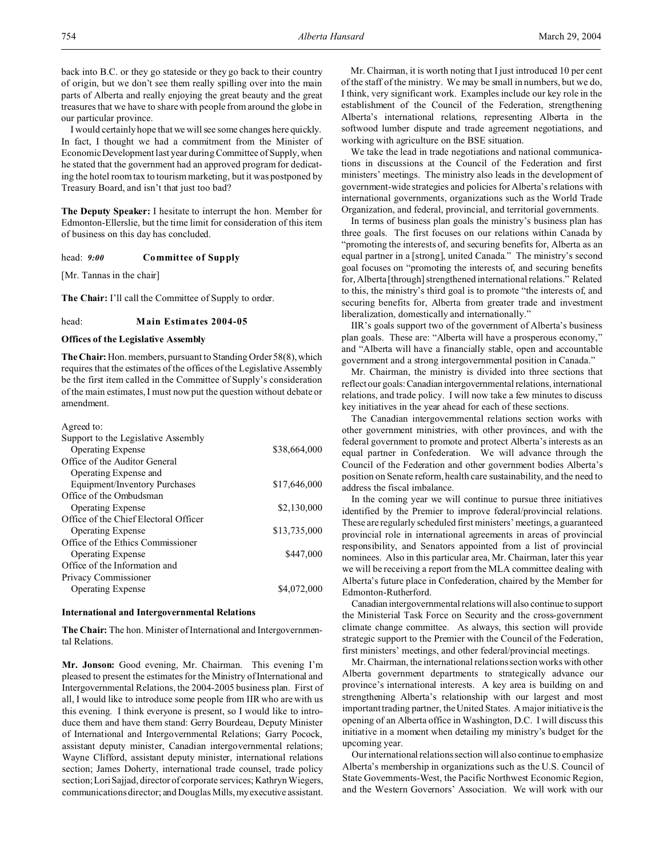I would certainly hope that we will see some changes here quickly. In fact, I thought we had a commitment from the Minister of Economic Development last year during Committee of Supply, when he stated that the government had an approved program for dedicating the hotel room tax to tourism marketing, but it was postponed by Treasury Board, and isn't that just too bad?

**The Deputy Speaker:** I hesitate to interrupt the hon. Member for Edmonton-Ellerslie, but the time limit for consideration of this item of business on this day has concluded.

head: *9:00* **Committee of Supply**

[Mr. Tannas in the chair]

**The Chair:** I'll call the Committee of Supply to order.

## head: **Main Estimates 2004-05**

#### **Offices of the Legislative Assembly**

**The Chair:** Hon. members, pursuant to Standing Order 58(8), which requires that the estimates of the offices of the Legislative Assembly be the first item called in the Committee of Supply's consideration of the main estimates, I must now put the question without debate or amendment.

| Agreed to:                            |              |
|---------------------------------------|--------------|
| Support to the Legislative Assembly   |              |
| <b>Operating Expense</b>              | \$38,664,000 |
| Office of the Auditor General         |              |
| Operating Expense and                 |              |
| Equipment/Inventory Purchases         | \$17,646,000 |
| Office of the Ombudsman               |              |
| <b>Operating Expense</b>              | \$2,130,000  |
| Office of the Chief Electoral Officer |              |
| <b>Operating Expense</b>              | \$13,735,000 |
| Office of the Ethics Commissioner     |              |
| <b>Operating Expense</b>              | \$447,000    |
| Office of the Information and         |              |
| Privacy Commissioner                  |              |
| <b>Operating Expense</b>              | \$4,072,000  |
|                                       |              |

#### **International and Intergovernmental Relations**

**The Chair:** The hon. Minister of International and Intergovernmental Relations.

**Mr. Jonson:** Good evening, Mr. Chairman. This evening I'm pleased to present the estimates for the Ministry of International and Intergovernmental Relations, the 2004-2005 business plan. First of all, I would like to introduce some people from IIR who are with us this evening. I think everyone is present, so I would like to introduce them and have them stand: Gerry Bourdeau, Deputy Minister of International and Intergovernmental Relations; Garry Pocock, assistant deputy minister, Canadian intergovernmental relations; Wayne Clifford, assistant deputy minister, international relations section; James Doherty, international trade counsel, trade policy section;Lori Sajjad, director of corporate services; Kathryn Wiegers, communications director; and Douglas Mills, myexecutive assistant.

Mr. Chairman, it is worth noting that I just introduced 10 per cent of the staff of the ministry. We may be small in numbers, but we do, I think, very significant work. Examples include our key role in the establishment of the Council of the Federation, strengthening Alberta's international relations, representing Alberta in the softwood lumber dispute and trade agreement negotiations, and working with agriculture on the BSE situation.

We take the lead in trade negotiations and national communications in discussions at the Council of the Federation and first ministers' meetings. The ministry also leads in the development of government-wide strategies and policies for Alberta's relations with international governments, organizations such as the World Trade Organization, and federal, provincial, and territorial governments.

In terms of business plan goals the ministry's business plan has three goals. The first focuses on our relations within Canada by "promoting the interests of, and securing benefits for, Alberta as an equal partner in a [strong], united Canada." The ministry's second goal focuses on "promoting the interests of, and securing benefits for, Alberta [through] strengthened international relations." Related to this, the ministry's third goal is to promote "the interests of, and securing benefits for, Alberta from greater trade and investment liberalization, domestically and internationally."

IIR's goals support two of the government of Alberta's business plan goals. These are: "Alberta will have a prosperous economy," and "Alberta will have a financially stable, open and accountable government and a strong intergovernmental position in Canada."

Mr. Chairman, the ministry is divided into three sections that reflect our goals:Canadian intergovernmental relations, international relations, and trade policy. I will now take a few minutes to discuss key initiatives in the year ahead for each of these sections.

The Canadian intergovernmental relations section works with other government ministries, with other provinces, and with the federal government to promote and protect Alberta's interests as an equal partner in Confederation. We will advance through the Council of the Federation and other government bodies Alberta's position on Senate reform, health care sustainability, and the need to address the fiscal imbalance.

In the coming year we will continue to pursue three initiatives identified by the Premier to improve federal/provincial relations. These are regularly scheduled first ministers' meetings, a guaranteed provincial role in international agreements in areas of provincial responsibility, and Senators appointed from a list of provincial nominees. Also in this particular area, Mr. Chairman, later this year we will be receiving a report from the MLA committee dealing with Alberta's future place in Confederation, chaired by the Member for Edmonton-Rutherford.

Canadian intergovernmental relations will also continue to support the Ministerial Task Force on Security and the cross-government climate change committee. As always, this section will provide strategic support to the Premier with the Council of the Federation, first ministers' meetings, and other federal/provincial meetings.

Mr. Chairman, the international relations section works with other Alberta government departments to strategically advance our province's international interests. A key area is building on and strengthening Alberta's relationship with our largest and most important trading partner, the United States. A major initiative is the opening of an Alberta office in Washington, D.C. I will discuss this initiative in a moment when detailing my ministry's budget for the upcoming year.

Our international relations section will also continue to emphasize Alberta's membership in organizations such as the U.S. Council of State Governments-West, the Pacific Northwest Economic Region, and the Western Governors' Association. We will work with our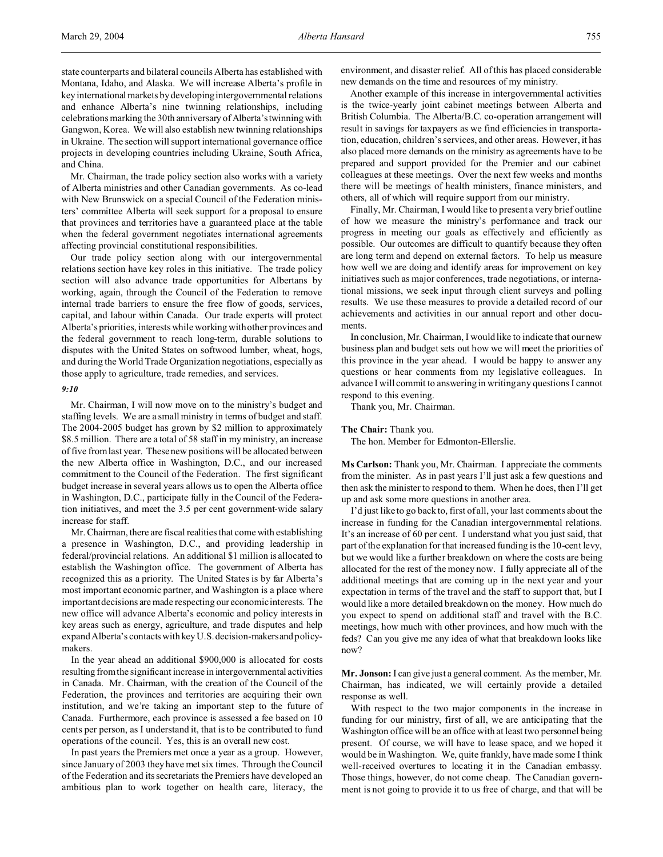state counterparts and bilateral councils Alberta has established with Montana, Idaho, and Alaska. We will increase Alberta's profile in key international markets by developing intergovernmental relations and enhance Alberta's nine twinning relationships, including celebrations marking the 30th anniversary of Alberta'stwinning with Gangwon, Korea. We will also establish new twinning relationships in Ukraine. The section will support international governance office projects in developing countries including Ukraine, South Africa, and China.

Mr. Chairman, the trade policy section also works with a variety of Alberta ministries and other Canadian governments. As co-lead with New Brunswick on a special Council of the Federation ministers' committee Alberta will seek support for a proposal to ensure that provinces and territories have a guaranteed place at the table when the federal government negotiates international agreements affecting provincial constitutional responsibilities.

Our trade policy section along with our intergovernmental relations section have key roles in this initiative. The trade policy section will also advance trade opportunities for Albertans by working, again, through the Council of the Federation to remove internal trade barriers to ensure the free flow of goods, services, capital, and labour within Canada. Our trade experts will protect Alberta's priorities, interests while working with other provinces and the federal government to reach long-term, durable solutions to disputes with the United States on softwood lumber, wheat, hogs, and during the World Trade Organization negotiations, especially as those apply to agriculture, trade remedies, and services.

#### *9:10*

Mr. Chairman, I will now move on to the ministry's budget and staffing levels. We are a small ministry in terms of budget and staff. The 2004-2005 budget has grown by \$2 million to approximately \$8.5 million. There are a total of 58 staff in my ministry, an increase of five from last year. These new positions will be allocated between the new Alberta office in Washington, D.C., and our increased commitment to the Council of the Federation. The first significant budget increase in several years allows us to open the Alberta office in Washington, D.C., participate fully in the Council of the Federation initiatives, and meet the 3.5 per cent government-wide salary increase for staff.

Mr. Chairman, there are fiscal realities that come with establishing a presence in Washington, D.C., and providing leadership in federal/provincial relations. An additional \$1 million is allocated to establish the Washington office. The government of Alberta has recognized this as a priority. The United States is by far Alberta's most important economic partner, and Washington is a place where important decisions are made respecting our economic interests. The new office will advance Alberta's economic and policy interests in key areas such as energy, agriculture, and trade disputes and help expand Alberta's contacts with key U.S. decision-makersand policymakers.

In the year ahead an additional \$900,000 is allocated for costs resulting from the significant increase in intergovernmental activities in Canada. Mr. Chairman, with the creation of the Council of the Federation, the provinces and territories are acquiring their own institution, and we're taking an important step to the future of Canada. Furthermore, each province is assessed a fee based on 10 cents per person, as I understand it, that is to be contributed to fund operations of the council. Yes, this is an overall new cost.

In past years the Premiers met once a year as a group. However, since January of 2003 they have met six times. Through the Council of the Federation and its secretariats the Premiers have developed an ambitious plan to work together on health care, literacy, the environment, and disaster relief. All of this has placed considerable new demands on the time and resources of my ministry.

Another example of this increase in intergovernmental activities is the twice-yearly joint cabinet meetings between Alberta and British Columbia. The Alberta/B.C. co-operation arrangement will result in savings for taxpayers as we find efficiencies in transportation, education, children's services, and other areas. However, it has also placed more demands on the ministry as agreements have to be prepared and support provided for the Premier and our cabinet colleagues at these meetings. Over the next few weeks and months there will be meetings of health ministers, finance ministers, and others, all of which will require support from our ministry.

Finally, Mr. Chairman, I would like to present a very brief outline of how we measure the ministry's performance and track our progress in meeting our goals as effectively and efficiently as possible. Our outcomes are difficult to quantify because they often are long term and depend on external factors. To help us measure how well we are doing and identify areas for improvement on key initiatives such as major conferences, trade negotiations, or international missions, we seek input through client surveys and polling results. We use these measures to provide a detailed record of our achievements and activities in our annual report and other documents.

In conclusion, Mr. Chairman, I would like to indicate that our new business plan and budget sets out how we will meet the priorities of this province in the year ahead. I would be happy to answer any questions or hear comments from my legislative colleagues. In advance I will commit to answering in writing any questions I cannot respond to this evening.

Thank you, Mr. Chairman.

**The Chair:** Thank you.

The hon. Member for Edmonton-Ellerslie.

**Ms Carlson:** Thank you, Mr. Chairman. I appreciate the comments from the minister. As in past years I'll just ask a few questions and then ask the minister to respond to them. When he does, then I'll get up and ask some more questions in another area.

I'd just like to go back to, first of all, your last comments about the increase in funding for the Canadian intergovernmental relations. It's an increase of 60 per cent. I understand what you just said, that part of the explanation for that increased funding is the 10-cent levy, but we would like a further breakdown on where the costs are being allocated for the rest of the money now. I fully appreciate all of the additional meetings that are coming up in the next year and your expectation in terms of the travel and the staff to support that, but I would like a more detailed breakdown on the money. How much do you expect to spend on additional staff and travel with the B.C. meetings, how much with other provinces, and how much with the feds? Can you give me any idea of what that breakdown looks like now?

**Mr. Jonson:** I can give just a general comment. As the member, Mr. Chairman, has indicated, we will certainly provide a detailed response as well.

With respect to the two major components in the increase in funding for our ministry, first of all, we are anticipating that the Washington office will be an office with at least two personnel being present. Of course, we will have to lease space, and we hoped it would be in Washington. We, quite frankly, have made some I think well-received overtures to locating it in the Canadian embassy. Those things, however, do not come cheap. The Canadian government is not going to provide it to us free of charge, and that will be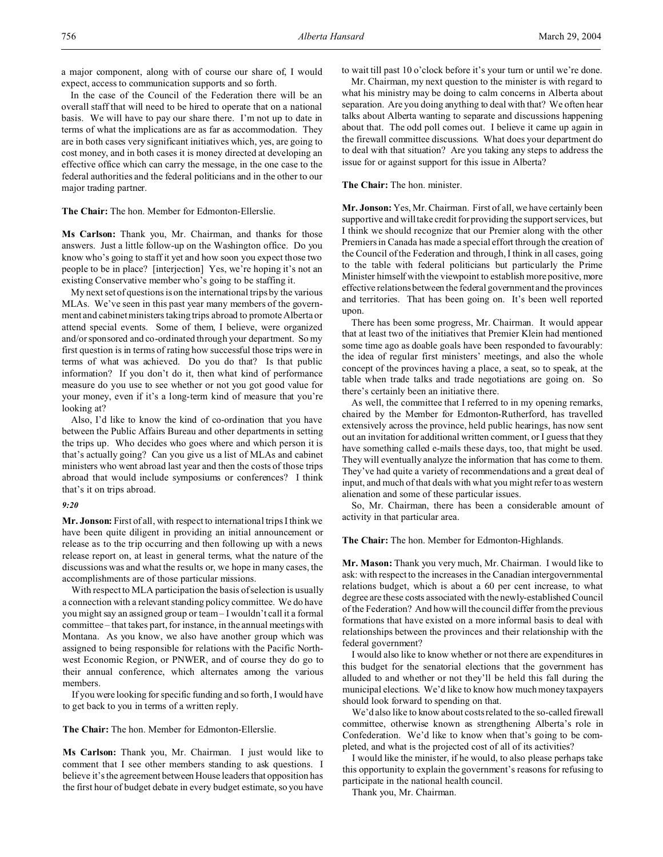a major component, along with of course our share of, I would expect, access to communication supports and so forth.

In the case of the Council of the Federation there will be an overall staff that will need to be hired to operate that on a national basis. We will have to pay our share there. I'm not up to date in terms of what the implications are as far as accommodation. They are in both cases very significant initiatives which, yes, are going to cost money, and in both cases it is money directed at developing an effective office which can carry the message, in the one case to the federal authorities and the federal politicians and in the other to our major trading partner.

**The Chair:** The hon. Member for Edmonton-Ellerslie.

**Ms Carlson:** Thank you, Mr. Chairman, and thanks for those answers. Just a little follow-up on the Washington office. Do you know who's going to staff it yet and how soon you expect those two people to be in place? [interjection] Yes, we're hoping it's not an existing Conservative member who's going to be staffing it.

My next set of questions is on the international trips by the various MLAs. We've seen in this past year many members of the government and cabinet ministers taking trips abroad to promote Alberta or attend special events. Some of them, I believe, were organized and/or sponsored and co-ordinated through your department. So my first question is in terms of rating how successful those trips were in terms of what was achieved. Do you do that? Is that public information? If you don't do it, then what kind of performance measure do you use to see whether or not you got good value for your money, even if it's a long-term kind of measure that you're looking at?

Also, I'd like to know the kind of co-ordination that you have between the Public Affairs Bureau and other departments in setting the trips up. Who decides who goes where and which person it is that's actually going? Can you give us a list of MLAs and cabinet ministers who went abroad last year and then the costs of those trips abroad that would include symposiums or conferences? I think that's it on trips abroad.

#### *9:20*

**Mr. Jonson:** First of all, with respect to international trips I think we have been quite diligent in providing an initial announcement or release as to the trip occurring and then following up with a news release report on, at least in general terms, what the nature of the discussions was and what the results or, we hope in many cases, the accomplishments are of those particular missions.

With respect to MLA participation the basis of selection is usually a connection with a relevant standing policy committee. We do have you might say an assigned group or team – I wouldn't call it a formal committee – that takes part, for instance, in the annual meetings with Montana. As you know, we also have another group which was assigned to being responsible for relations with the Pacific Northwest Economic Region, or PNWER, and of course they do go to their annual conference, which alternates among the various members.

If you were looking for specific funding and so forth, I would have to get back to you in terms of a written reply.

**The Chair:** The hon. Member for Edmonton-Ellerslie.

**Ms Carlson:** Thank you, Mr. Chairman. I just would like to comment that I see other members standing to ask questions. I believe it's the agreement between House leaders that opposition has the first hour of budget debate in every budget estimate, so you have to wait till past 10 o'clock before it's your turn or until we're done.

Mr. Chairman, my next question to the minister is with regard to what his ministry may be doing to calm concerns in Alberta about separation. Are you doing anything to deal with that? We often hear talks about Alberta wanting to separate and discussions happening about that. The odd poll comes out. I believe it came up again in the firewall committee discussions. What does your department do to deal with that situation? Are you taking any steps to address the issue for or against support for this issue in Alberta?

#### **The Chair:** The hon. minister.

**Mr. Jonson:** Yes, Mr. Chairman. First of all, we have certainly been supportive and will take credit for providing the support services, but I think we should recognize that our Premier along with the other Premiers in Canada has made a special effort through the creation of the Council of the Federation and through, I think in all cases, going to the table with federal politicians but particularly the Prime Minister himself with the viewpoint to establish more positive, more effective relations between the federal government and the provinces and territories. That has been going on. It's been well reported upon.

There has been some progress, Mr. Chairman. It would appear that at least two of the initiatives that Premier Klein had mentioned some time ago as doable goals have been responded to favourably: the idea of regular first ministers' meetings, and also the whole concept of the provinces having a place, a seat, so to speak, at the table when trade talks and trade negotiations are going on. So there's certainly been an initiative there.

As well, the committee that I referred to in my opening remarks, chaired by the Member for Edmonton-Rutherford, has travelled extensively across the province, held public hearings, has now sent out an invitation for additional written comment, or I guess that they have something called e-mails these days, too, that might be used. They will eventually analyze the information that has come to them. They've had quite a variety of recommendations and a great deal of input, and much of that deals with what you might refer to as western alienation and some of these particular issues.

So, Mr. Chairman, there has been a considerable amount of activity in that particular area.

**The Chair:** The hon. Member for Edmonton-Highlands.

**Mr. Mason:** Thank you very much, Mr. Chairman. I would like to ask: with respect to the increases in the Canadian intergovernmental relations budget, which is about a 60 per cent increase, to what degree are these costs associated with the newly-established Council of the Federation? And how will the council differ from the previous formations that have existed on a more informal basis to deal with relationships between the provinces and their relationship with the federal government?

I would also like to know whether or not there are expenditures in this budget for the senatorial elections that the government has alluded to and whether or not they'll be held this fall during the municipal elections. We'd like to know how much money taxpayers should look forward to spending on that.

We'd also like to know about costs related to the so-called firewall committee, otherwise known as strengthening Alberta's role in Confederation. We'd like to know when that's going to be completed, and what is the projected cost of all of its activities?

I would like the minister, if he would, to also please perhaps take this opportunity to explain the government's reasons for refusing to participate in the national health council.

Thank you, Mr. Chairman.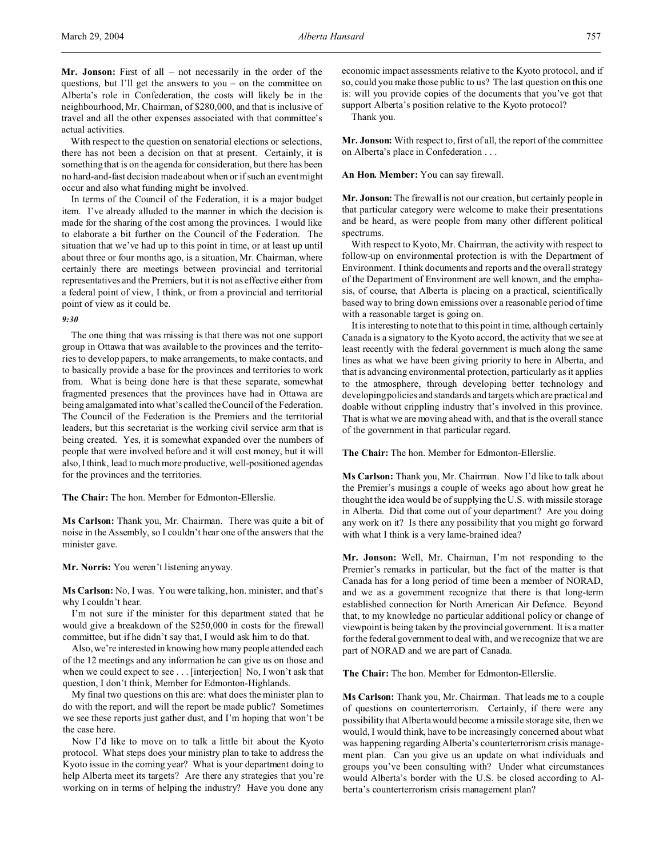**Mr. Jonson:** First of all – not necessarily in the order of the questions, but I'll get the answers to you – on the committee on Alberta's role in Confederation, the costs will likely be in the neighbourhood, Mr. Chairman, of \$280,000, and that is inclusive of travel and all the other expenses associated with that committee's actual activities.

With respect to the question on senatorial elections or selections, there has not been a decision on that at present. Certainly, it is something that is on the agenda for consideration, but there has been no hard-and-fast decision made about when or if such an event might occur and also what funding might be involved.

In terms of the Council of the Federation, it is a major budget item. I've already alluded to the manner in which the decision is made for the sharing of the cost among the provinces. I would like to elaborate a bit further on the Council of the Federation. The situation that we've had up to this point in time, or at least up until about three or four months ago, is a situation, Mr. Chairman, where certainly there are meetings between provincial and territorial representatives and the Premiers, but it is not as effective either from a federal point of view, I think, or from a provincial and territorial point of view as it could be.

## *9:30*

The one thing that was missing is that there was not one support group in Ottawa that was available to the provinces and the territories to develop papers, to make arrangements, to make contacts, and to basically provide a base for the provinces and territories to work from. What is being done here is that these separate, somewhat fragmented presences that the provinces have had in Ottawa are being amalgamated into what's called the Council of the Federation. The Council of the Federation is the Premiers and the territorial leaders, but this secretariat is the working civil service arm that is being created. Yes, it is somewhat expanded over the numbers of people that were involved before and it will cost money, but it will also, I think, lead to much more productive, well-positioned agendas for the provinces and the territories.

**The Chair:** The hon. Member for Edmonton-Ellerslie.

**Ms Carlson:** Thank you, Mr. Chairman. There was quite a bit of noise in the Assembly, so I couldn't hear one of the answers that the minister gave.

**Mr. Norris:** You weren't listening anyway.

**Ms Carlson:** No, I was. You were talking, hon. minister, and that's why I couldn't hear.

I'm not sure if the minister for this department stated that he would give a breakdown of the \$250,000 in costs for the firewall committee, but if he didn't say that, I would ask him to do that.

Also, we're interested in knowing how many people attended each of the 12 meetings and any information he can give us on those and when we could expect to see . . . [interjection] No, I won't ask that question, I don't think, Member for Edmonton-Highlands.

My final two questions on this are: what does the minister plan to do with the report, and will the report be made public? Sometimes we see these reports just gather dust, and I'm hoping that won't be the case here.

Now I'd like to move on to talk a little bit about the Kyoto protocol. What steps does your ministry plan to take to address the Kyoto issue in the coming year? What is your department doing to help Alberta meet its targets? Are there any strategies that you're working on in terms of helping the industry? Have you done any economic impact assessments relative to the Kyoto protocol, and if so, could you make those public to us? The last question on this one is: will you provide copies of the documents that you've got that support Alberta's position relative to the Kyoto protocol?

Thank you.

**Mr. Jonson:** With respect to, first of all, the report of the committee on Alberta's place in Confederation . . .

#### **An Hon. Member:** You can say firewall.

**Mr. Jonson:** The firewall is not our creation, but certainly people in that particular category were welcome to make their presentations and be heard, as were people from many other different political spectrums.

With respect to Kyoto, Mr. Chairman, the activity with respect to follow-up on environmental protection is with the Department of Environment. I think documents and reports and the overall strategy of the Department of Environment are well known, and the emphasis, of course, that Alberta is placing on a practical, scientifically based way to bring down emissions over a reasonable period of time with a reasonable target is going on.

It is interesting to note that to this point in time, although certainly Canada is a signatory to the Kyoto accord, the activity that we see at least recently with the federal government is much along the same lines as what we have been giving priority to here in Alberta, and that is advancing environmental protection, particularly as it applies to the atmosphere, through developing better technology and developing policies and standards and targets which are practical and doable without crippling industry that's involved in this province. That is what we are moving ahead with, and that is the overall stance of the government in that particular regard.

**The Chair:** The hon. Member for Edmonton-Ellerslie.

**Ms Carlson:** Thank you, Mr. Chairman. Now I'd like to talk about the Premier's musings a couple of weeks ago about how great he thought the idea would be of supplying the U.S. with missile storage in Alberta. Did that come out of your department? Are you doing any work on it? Is there any possibility that you might go forward with what I think is a very lame-brained idea?

**Mr. Jonson:** Well, Mr. Chairman, I'm not responding to the Premier's remarks in particular, but the fact of the matter is that Canada has for a long period of time been a member of NORAD, and we as a government recognize that there is that long-term established connection for North American Air Defence. Beyond that, to my knowledge no particular additional policy or change of viewpoint is being taken by the provincial government. It is a matter for the federal government to deal with, and we recognize that we are part of NORAD and we are part of Canada.

**The Chair:** The hon. Member for Edmonton-Ellerslie.

**Ms Carlson:** Thank you, Mr. Chairman. That leads me to a couple of questions on counterterrorism. Certainly, if there were any possibility that Alberta would become a missile storage site, then we would, I would think, have to be increasingly concerned about what was happening regarding Alberta's counterterrorism crisis management plan. Can you give us an update on what individuals and groups you've been consulting with? Under what circumstances would Alberta's border with the U.S. be closed according to Alberta's counterterrorism crisis management plan?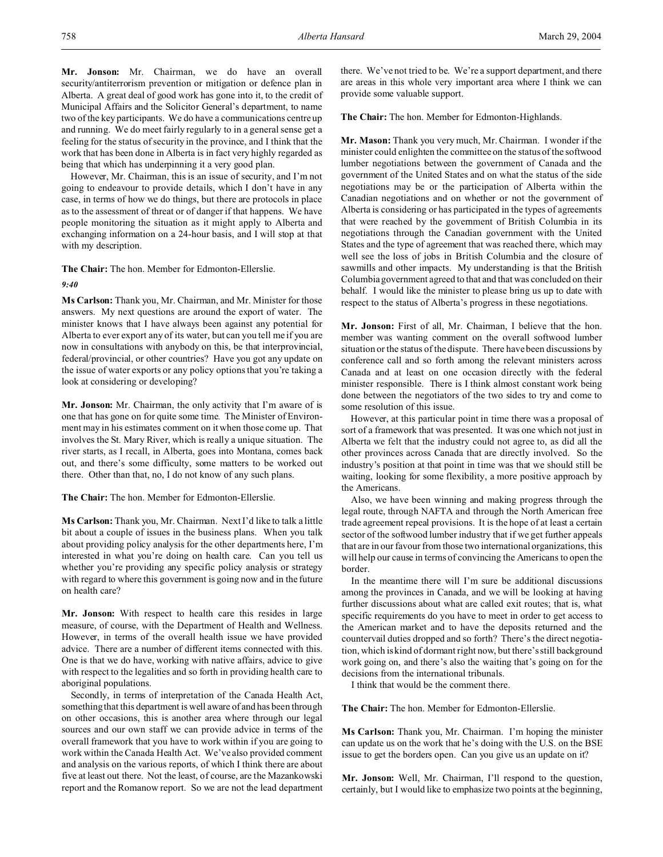**Mr. Jonson:** Mr. Chairman, we do have an overall security/antiterrorism prevention or mitigation or defence plan in Alberta. A great deal of good work has gone into it, to the credit of Municipal Affairs and the Solicitor General's department, to name two of the key participants. We do have a communications centre up and running. We do meet fairly regularly to in a general sense get a feeling for the status of security in the province, and I think that the work that has been done in Alberta is in fact very highly regarded as being that which has underpinning it a very good plan.

However, Mr. Chairman, this is an issue of security, and I'm not going to endeavour to provide details, which I don't have in any case, in terms of how we do things, but there are protocols in place as to the assessment of threat or of danger if that happens. We have people monitoring the situation as it might apply to Alberta and exchanging information on a 24-hour basis, and I will stop at that with my description.

**The Chair:** The hon. Member for Edmonton-Ellerslie.

## *9:40*

**Ms Carlson:** Thank you, Mr. Chairman, and Mr. Minister for those answers. My next questions are around the export of water. The minister knows that I have always been against any potential for Alberta to ever export any of its water, but can you tell me if you are now in consultations with anybody on this, be that interprovincial, federal/provincial, or other countries? Have you got any update on the issue of water exports or any policy options that you're taking a look at considering or developing?

**Mr. Jonson:** Mr. Chairman, the only activity that I'm aware of is one that has gone on for quite some time. The Minister of Environment may in his estimates comment on it when those come up. That involves the St. Mary River, which is really a unique situation. The river starts, as I recall, in Alberta, goes into Montana, comes back out, and there's some difficulty, some matters to be worked out there. Other than that, no, I do not know of any such plans.

**The Chair:** The hon. Member for Edmonton-Ellerslie.

**Ms Carlson:** Thank you, Mr. Chairman. Next I'd like to talk a little bit about a couple of issues in the business plans. When you talk about providing policy analysis for the other departments here, I'm interested in what you're doing on health care. Can you tell us whether you're providing any specific policy analysis or strategy with regard to where this government is going now and in the future on health care?

**Mr. Jonson:** With respect to health care this resides in large measure, of course, with the Department of Health and Wellness. However, in terms of the overall health issue we have provided advice. There are a number of different items connected with this. One is that we do have, working with native affairs, advice to give with respect to the legalities and so forth in providing health care to aboriginal populations.

Secondly, in terms of interpretation of the Canada Health Act, something that this department is well aware of and has been through on other occasions, this is another area where through our legal sources and our own staff we can provide advice in terms of the overall framework that you have to work within if you are going to work within the Canada Health Act. We've also provided comment and analysis on the various reports, of which I think there are about five at least out there. Not the least, of course, are the Mazankowski report and the Romanow report. So we are not the lead department there. We've not tried to be. We're a support department, and there are areas in this whole very important area where I think we can provide some valuable support.

**The Chair:** The hon. Member for Edmonton-Highlands.

**Mr. Mason:** Thank you very much, Mr. Chairman. I wonder if the minister could enlighten the committee on the status of the softwood lumber negotiations between the government of Canada and the government of the United States and on what the status of the side negotiations may be or the participation of Alberta within the Canadian negotiations and on whether or not the government of Alberta is considering or has participated in the types of agreements that were reached by the government of British Columbia in its negotiations through the Canadian government with the United States and the type of agreement that was reached there, which may well see the loss of jobs in British Columbia and the closure of sawmills and other impacts. My understanding is that the British Columbia government agreed to that and that was concluded on their behalf. I would like the minister to please bring us up to date with respect to the status of Alberta's progress in these negotiations.

**Mr. Jonson:** First of all, Mr. Chairman, I believe that the hon. member was wanting comment on the overall softwood lumber situation or the status of the dispute. There have been discussions by conference call and so forth among the relevant ministers across Canada and at least on one occasion directly with the federal minister responsible. There is I think almost constant work being done between the negotiators of the two sides to try and come to some resolution of this issue.

However, at this particular point in time there was a proposal of sort of a framework that was presented. It was one which not just in Alberta we felt that the industry could not agree to, as did all the other provinces across Canada that are directly involved. So the industry's position at that point in time was that we should still be waiting, looking for some flexibility, a more positive approach by the Americans.

Also, we have been winning and making progress through the legal route, through NAFTA and through the North American free trade agreement repeal provisions. It is the hope of at least a certain sector of the softwood lumber industry that if we get further appeals that are in our favour from those two international organizations, this will help our cause in terms of convincing the Americans to open the border.

In the meantime there will I'm sure be additional discussions among the provinces in Canada, and we will be looking at having further discussions about what are called exit routes; that is, what specific requirements do you have to meet in order to get access to the American market and to have the deposits returned and the countervail duties dropped and so forth? There's the direct negotiation, which is kind of dormant right now, but there's still background work going on, and there's also the waiting that's going on for the decisions from the international tribunals.

I think that would be the comment there.

**The Chair:** The hon. Member for Edmonton-Ellerslie.

**Ms Carlson:** Thank you, Mr. Chairman. I'm hoping the minister can update us on the work that he's doing with the U.S. on the BSE issue to get the borders open. Can you give us an update on it?

**Mr. Jonson:** Well, Mr. Chairman, I'll respond to the question, certainly, but I would like to emphasize two points at the beginning,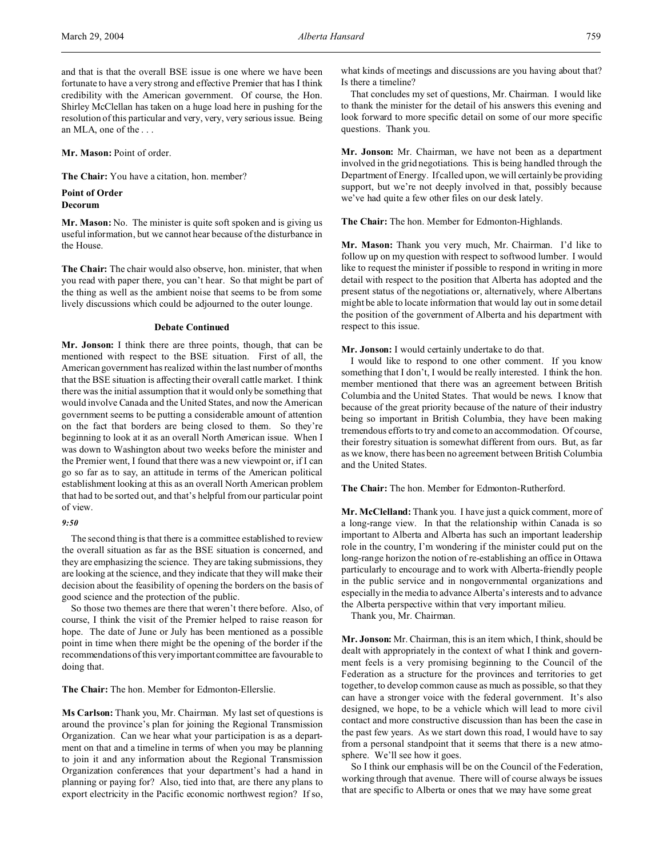and that is that the overall BSE issue is one where we have been fortunate to have a very strong and effective Premier that has I think credibility with the American government. Of course, the Hon. Shirley McClellan has taken on a huge load here in pushing for the resolution of this particular and very, very, very serious issue. Being an MLA, one of the . . .

**Mr. Mason:** Point of order.

**The Chair:** You have a citation, hon. member?

#### **Point of Order Decorum**

**Mr. Mason:** No. The minister is quite soft spoken and is giving us useful information, but we cannot hear because of the disturbance in the House.

**The Chair:** The chair would also observe, hon. minister, that when you read with paper there, you can't hear. So that might be part of the thing as well as the ambient noise that seems to be from some lively discussions which could be adjourned to the outer lounge.

#### **Debate Continued**

**Mr. Jonson:** I think there are three points, though, that can be mentioned with respect to the BSE situation. First of all, the American government has realized within the last number of months that the BSE situation is affecting their overall cattle market. I think there was the initial assumption that it would only be something that would involve Canada and the United States, and now the American government seems to be putting a considerable amount of attention on the fact that borders are being closed to them. So they're beginning to look at it as an overall North American issue. When I was down to Washington about two weeks before the minister and the Premier went, I found that there was a new viewpoint or, if I can go so far as to say, an attitude in terms of the American political establishment looking at this as an overall North American problem that had to be sorted out, and that's helpful from our particular point of view.

### *9:50*

The second thing is that there is a committee established to review the overall situation as far as the BSE situation is concerned, and they are emphasizing the science. They are taking submissions, they are looking at the science, and they indicate that they will make their decision about the feasibility of opening the borders on the basis of good science and the protection of the public.

So those two themes are there that weren't there before. Also, of course, I think the visit of the Premier helped to raise reason for hope. The date of June or July has been mentioned as a possible point in time when there might be the opening of the border if the recommendations of this very important committee are favourable to doing that.

**The Chair:** The hon. Member for Edmonton-Ellerslie.

**Ms Carlson:** Thank you, Mr. Chairman. My last set of questions is around the province's plan for joining the Regional Transmission Organization. Can we hear what your participation is as a department on that and a timeline in terms of when you may be planning to join it and any information about the Regional Transmission Organization conferences that your department's had a hand in planning or paying for? Also, tied into that, are there any plans to export electricity in the Pacific economic northwest region? If so, what kinds of meetings and discussions are you having about that? Is there a timeline?

That concludes my set of questions, Mr. Chairman. I would like to thank the minister for the detail of his answers this evening and look forward to more specific detail on some of our more specific questions. Thank you.

**Mr. Jonson:** Mr. Chairman, we have not been as a department involved in the grid negotiations. This is being handled through the Department of Energy. If called upon, we will certainly be providing support, but we're not deeply involved in that, possibly because we've had quite a few other files on our desk lately.

**The Chair:** The hon. Member for Edmonton-Highlands.

**Mr. Mason:** Thank you very much, Mr. Chairman. I'd like to follow up on my question with respect to softwood lumber. I would like to request the minister if possible to respond in writing in more detail with respect to the position that Alberta has adopted and the present status of the negotiations or, alternatively, where Albertans might be able to locate information that would lay out in some detail the position of the government of Alberta and his department with respect to this issue.

## **Mr. Jonson:** I would certainly undertake to do that.

I would like to respond to one other comment. If you know something that I don't, I would be really interested. I think the hon. member mentioned that there was an agreement between British Columbia and the United States. That would be news. I know that because of the great priority because of the nature of their industry being so important in British Columbia, they have been making tremendous efforts to try and come to an accommodation. Of course, their forestry situation is somewhat different from ours. But, as far as we know, there has been no agreement between British Columbia and the United States.

**The Chair:** The hon. Member for Edmonton-Rutherford.

**Mr. McClelland:** Thank you. I have just a quick comment, more of a long-range view. In that the relationship within Canada is so important to Alberta and Alberta has such an important leadership role in the country, I'm wondering if the minister could put on the long-range horizon the notion of re-establishing an office in Ottawa particularly to encourage and to work with Alberta-friendly people in the public service and in nongovernmental organizations and especially in the media to advance Alberta's interests and to advance the Alberta perspective within that very important milieu.

Thank you, Mr. Chairman.

**Mr. Jonson:** Mr. Chairman, this is an item which, I think, should be dealt with appropriately in the context of what I think and government feels is a very promising beginning to the Council of the Federation as a structure for the provinces and territories to get together, to develop common cause as much as possible, so that they can have a stronger voice with the federal government. It's also designed, we hope, to be a vehicle which will lead to more civil contact and more constructive discussion than has been the case in the past few years. As we start down this road, I would have to say from a personal standpoint that it seems that there is a new atmosphere. We'll see how it goes.

So I think our emphasis will be on the Council of the Federation, working through that avenue. There will of course always be issues that are specific to Alberta or ones that we may have some great